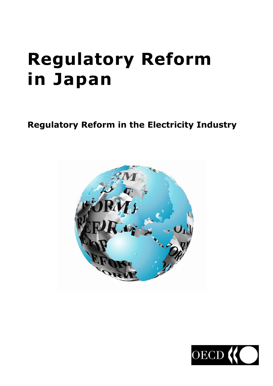# **Regulatory Reform** in Japan

# **Regulatory Reform in the Electricity Industry**



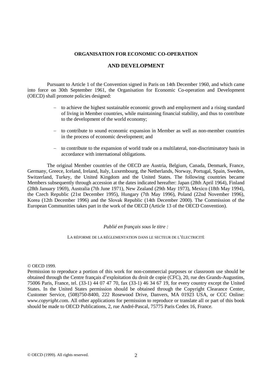# **ORGANISATION FOR ECONOMIC CO-OPERATION**

# **AND DEVELOPMENT**

 Pursuant to Article 1 of the Convention signed in Paris on 14th December 1960, and which came into force on 30th September 1961, the Organisation for Economic Co-operation and Development (OECD) shall promote policies designed:

- to achieve the highest sustainable economic growth and employment and a rising standard of living in Member countries, while maintaining financial stability, and thus to contribute to the development of the world economy;
- to contribute to sound economic expansion in Member as well as non-member countries in the process of economic development; and
- to contribute to the expansion of world trade on a multilateral, non-discriminatory basis in accordance with international obligations.

 The original Member countries of the OECD are Austria, Belgium, Canada, Denmark, France, Germany, Greece, Iceland, Ireland, Italy, Luxembourg, the Netherlands, Norway, Portugal, Spain, Sweden, Switzerland, Turkey, the United Kingdom and the United States. The following countries became Members subsequently through accession at the dates indicated hereafter: Japan (28th April 1964), Finland (28th January 1969), Australia (7th June 1971), New Zealand (29th May 1973), Mexico (18th May 1994), the Czech Republic (21st December 1995), Hungary (7th May 1996), Poland (22nd November 1996), Korea (12th December 1996) and the Slovak Republic (14th December 2000). The Commission of the European Communities takes part in the work of the OECD (Article 13 of the OECD Convention).

#### *Publié en français sous le titre :*

# LA RÉFORME DE LA RÉGLEMENTATION DANS LE SECTEUR DE L'ÉLECTRICITÉ

# © OECD 1999.

Permission to reproduce a portion of this work for non-commercial purposes or classroom use should be obtained through the Centre français d'exploitation du droit de copie (CFC), 20, rue des Grands-Augustins, 75006 Paris, France, tel. (33-1) 44 07 47 70, fax (33-1) 46 34 67 19, for every country except the United States. In the United States permission should be obtained through the Copyright Clearance Center, Customer Service, (508)750-8400, 222 Rosewood Drive, Danvers, MA 01923 USA, or CCC Online: *www.copyright.co*m. All other applications for permission to reproduce or translate all or part of this book should be made to OECD Publications, 2, rue André-Pascal, 75775 Paris Cedex 16, France.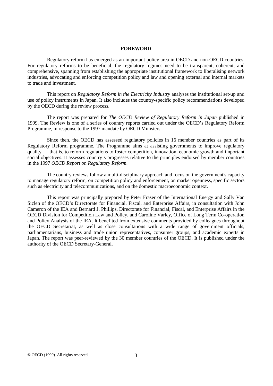#### **FOREWORD**

 Regulatory reform has emerged as an important policy area in OECD and non-OECD countries. For regulatory reforms to be beneficial, the regulatory regimes need to be transparent, coherent, and comprehensive, spanning from establishing the appropriate institutional framework to liberalising network industries, advocating and enforcing competition policy and law and opening external and internal markets to trade and investment.

 This report on *Regulatory Reform in the Electricity Industry* analyses the institutional set-up and use of policy instruments in Japan. It also includes the country-specific policy recommendations developed by the OECD during the review process.

 The report was prepared for *The OECD Review of Regulatory Reform in Japan* published in 1999. The Review is one of a series of country reports carried out under the OECD's Regulatory Reform Programme, in response to the 1997 mandate by OECD Ministers.

 Since then, the OECD has assessed regulatory policies in 16 member countries as part of its Regulatory Reform programme. The Programme aims at assisting governments to improve regulatory quality — that is, to reform regulations to foster competition, innovation, economic growth and important social objectives. It assesses country's progresses relative to the principles endorsed by member countries in the 1997 *OECD Report on Regulatory Reform*.

 The country reviews follow a multi-disciplinary approach and focus on the government's capacity to manage regulatory reform, on competition policy and enforcement, on market openness, specific sectors such as electricity and telecommunications, and on the domestic macroeconomic context.

 This report was principally prepared by Peter Fraser of the International Energy and Sally Van Siclen of the OECD's Directorate for Financial, Fiscal, and Enterprise Affairs, in consultation with John Cameron of the IEA and Bernard J. Phillips, Directorate for Financial, Fiscal, and Enterprise Affairs in the OECD Division for Competition Law and Policy, and Caroline Varley, Office of Long Term Co-operation and Policy Analysis of the IEA. It benefited from extensive comments provided by colleagues throughout the OECD Secretariat, as well as close consultations with a wide range of government officials, parliamentarians, business and trade union representatives, consumer groups, and academic experts in Japan. The report was peer-reviewed by the 30 member countries of the OECD. It is published under the authority of the OECD Secretary-General.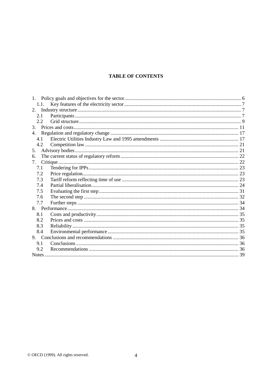# **TABLE OF CONTENTS**

| 1.            |  |
|---------------|--|
| 1.1.          |  |
| 2.            |  |
| 2.1           |  |
| $2.2^{\circ}$ |  |
| 3.            |  |
| 4.            |  |
| 4.1           |  |
| 4.2           |  |
| 5.            |  |
| 6.            |  |
| 7.            |  |
| 7.1           |  |
| 7.2           |  |
| 7.3           |  |
| 7.4           |  |
| 7.5           |  |
| 7.6           |  |
| 7.7           |  |
|               |  |
| 8.1           |  |
| 8.2           |  |
| 8.3           |  |
| 8.4           |  |
|               |  |
| 9.1           |  |
| 9.2           |  |
|               |  |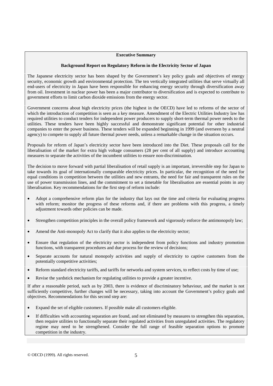#### **Executive Summary**

#### **Background Report on Regulatory Reform in the Electricity Sector of Japan**

The Japanese electricity sector has been shaped by the Government's key policy goals and objectives of energy security, economic growth and environmental protection. The ten vertically integrated utilities that serve virtually all end-users of electricity in Japan have been responsible for enhancing energy security through diversification away from oil. Investment in nuclear power has been a major contributor to diversification and is expected to contribute to government efforts to limit carbon dioxide emissions from the energy sector.

Government concerns about high electricity prices (the highest in the OECD) have led to reforms of the sector of which the introduction of competition is seen as a key measure. Amendment of the Electric Utilities Industry law has required utilities to conduct tenders for independent power producers to supply short-term thermal power needs to the utilities. These tenders have been highly successful and demonstrate significant potential for other industrial companies to enter the power business. These tenders will be expanded beginning in 1999 (and overseen by a neutral agency) to compete to supply all future thermal power needs, unless a remarkable change in the situation occurs.

Proposals for reform of Japan's electricity sector have been introduced into the Diet. These proposals call for the liberalisation of the market for extra high voltage consumers (28 per cent of all supply) and introduce accounting measures to separate the activities of the incumbent utilities to ensure non-discrimination.

The decision to move forward with partial liberalisation of retail supply is an important, irreversible step for Japan to take towards its goal of internationally comparable electricity prices. In particular, the recognition of the need for equal conditions in competition between the utilities and new entrants, the need for fair and transparent rules on the use of power transmission lines, and the commitment to set a timetable for liberalisation are essential points in any liberalisation. Key recommendations for the first step of reform include:

- $\bullet$  Adopt a comprehensive reform plan for the industry that lays out the time and criteria for evaluating progress with reform; monitor the progress of these reforms and, if there are problems with this progress, a timely adjustment towards other policies can be made.
- $\bullet$ Strengthen competition principles in the overall policy framework and vigorously enforce the antimonopoly law;
- $\bullet$ Amend the Anti-monopoly Act to clarify that it also applies to the electricity sector;
- - Ensure that regulation of the electricity sector is independent from policy functions and industry promotion functions, with transparent procedures and due process for the review of decisions;
- - Separate accounts for natural monopoly activities and supply of electricity to captive customers from the potentially competitive activities;
- -Reform standard electricity tariffs, and tariffs for networks and system services, to reflect costs by time of use;
- $\bullet$ Revise the yardstick mechanism for regulating utilities to provide a greater incentive.

If after a reasonable period, such as by 2003, there is evidence of discriminatory behaviour, and the market is not sufficiently competitive, further changes will be necessary, taking into account the Government's policy goals and objectives. Recommendations for this second step are:

- $\bullet$ Expand the set of eligible customers. If possible make all customers eligible.
- - If difficulties with accounting separation are found, and not eliminated by measures to strengthen this separation, then require utilities to functionally separate their regulated activities from unregulated activities. The regulatory regime may need to be strengthened. Consider the full range of feasible separation options to promote competition in the industry.

© OECD (1999). All rights reserved. 5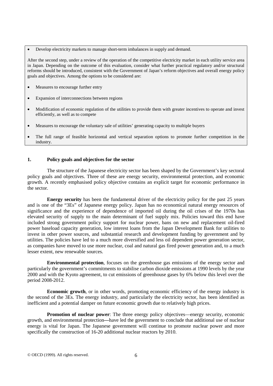$\bullet$ Develop electricity markets to manage short-term imbalances in supply and demand.

After the second step, under a review of the operation of the competitive electricity market in each utility service area in Japan. Depending on the outcome of this evaluation, consider what further practical regulatory and/or structural reforms should be introduced, consistent with the Government of Japan's reform objectives and overall energy policy goals and objectives. Among the options to be considered are:

- $\bullet$ Measures to encourage further entry
- -Expansion of interconnections between regions
- $\bullet$  Modification of economic regulation of the utilities to provide them with greater incentives to operate and invest efficiently, as well as to compete
- -Measures to encourage the voluntary sale of utilities' generating capacity to multiple buyers
- - The full range of feasible horizontal and vertical separation options to promote further competition in the industry.

# **1. Policy goals and objectives for the sector**

 The structure of the Japanese electricity sector has been shaped by the Government's key sectoral policy goals and objectives. Three of these are energy security, environmental protection, and economic growth. A recently emphasised policy objective contains an explicit target for economic performance in the sector.

**Energy security** has been the fundamental driver of the electricity policy for the past 25 years and is one of the "3Es" of Japanese energy policy. Japan has no economical natural energy resources of significance and the experience of dependence of imported oil during the oil crises of the 1970s has elevated security of supply to the main determinant of fuel supply mix. Policies toward this end have included strong government policy support for nuclear power, bans on new and replacement oil-fired power baseload capacity generation, low interest loans from the Japan Development Bank for utilities to invest in other power sources, and substantial research and development funding by government and by utilities. The policies have led to a much more diversified and less oil dependent power generation sector, as companies have moved to use more nuclear, coal and natural gas fired power generation and, to a much lesser extent, new renewable sources.

 **Environmental protection**, focuses on the greenhouse gas emissions of the energy sector and particularly the government's commitments to stabilise carbon dioxide emissions at 1990 levels by the year 2000 and with the Kyoto agreement, to cut emissions of greenhouse gases by 6% below this level over the period 2008-2012.

 **Economic growth**, or in other words, promoting economic efficiency of the energy industry is the second of the 3Es. The energy industry, and particularly the electricity sector, has been identified as inefficient and a potential damper on future economic growth due to relatively high prices.

**Promotion of nuclear power**: The three energy policy objectives—energy security, economic growth, and environmental protection**—**have led the government to conclude that additional use of nuclear energy is vital for Japan. The Japanese government will continue to promote nuclear power and more specifically the construction of 16-20 additional nuclear reactors by 2010.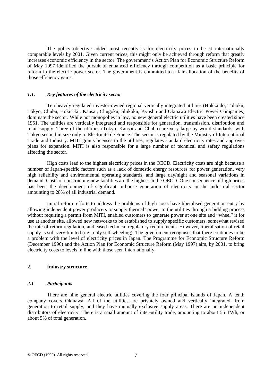The policy objective added most recently is for electricity prices to be at internationally comparable levels by 2001. Given current prices, this might only be achieved through reform that greatly increases economic efficiency in the sector. The government's Action Plan for Economic Structure Reform of May 1997 identified the pursuit of enhanced efficiency through competition as a basic principle for reform in the electric power sector. The government is committed to a fair allocation of the benefits of those efficiency gains.

# *1.1. Key features of the electricity sector*

 Ten heavily regulated investor-owned regional vertically integrated utilities (Hokkaido, Tohoku, Tokyo, Chubu, Hokuriku, Kansai, Chugoku, Shikoku, Kyushu and Okinawa Electric Power Companies) dominate the sector. While not monopolies in law, no new general electric utilities have been created since 1951. The utilities are vertically integrated and responsible for generation, transmission, distribution and retail supply. Three of the utilities (Tokyo, Kansai and Chubu) are very large by world standards, with Tokyo second in size only to Electricité de France. The sector is regulated by the Ministry of International Trade and Industry: MITI grants licenses to the utilities, regulates standard electricity rates and approves plans for expansion. MITI is also responsible for a large number of technical and safety regulations affecting the sector.

 High costs lead to the highest electricity prices in the OECD. Electricity costs are high because a number of Japan-specific factors such as a lack of domestic energy resources for power generation, very high reliability and environmental operating standards, and large day/night and seasonal variations in demand. Costs of constructing new facilities are the highest in the OECD. One consequence of high prices has been the development of significant in-house generation of electricity in the industrial sector amounting to 28% of all industrial demand.

 Initial reform efforts to address the problems of high costs have liberalised generation entry by allowing independent power producers to supply thermal<sup>1</sup> power to the utilities through a bidding process without requiring a permit from MITI, enabled customers to generate power at one site and "wheel" it for use at another site, allowed new networks to be established to supply specific customers, somewhat revised the rate-of-return regulation, and eased technical regulatory requirements. However, liberalisation of retail supply is still very limited (i.e., only self-wheeling). The government recognises that there continues to be a problem with the level of electricity prices in Japan. The Programme for Economic Structure Reform (December 1996) and the Action Plan for Economic Structure Reform (May 1997) aim, by 2001, to bring electricity costs to levels in line with those seen internationally.

# **2. Industry structure**

# *2.1 Participants*

 There are nine general electric utilities covering the four principal islands of Japan. A tenth company covers Okinawa. All of the utilities are privately owned and vertically integrated, from generation to retail supply, and they have mutually exclusive supply areas. There are no independent distributors of electricity. There is a small amount of inter-utility trade, amounting to about 55 TWh, or about 5% of total generation.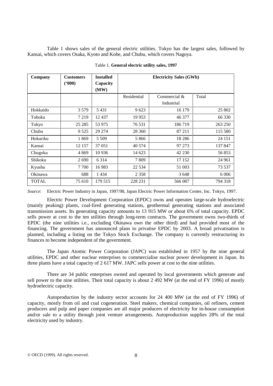Table 1 shows sales of the general electric utilities. Tokyo has the largest sales, followed by Kansai, which covers Osaka, Kyoto and Kobe, and Chubu, which covers Nagoya.

| Company      | <b>Customers</b><br>(900) | <b>Installed</b><br>Capacity<br>(MW) | <b>Electricity Sales (GWh)</b> |                            |         |
|--------------|---------------------------|--------------------------------------|--------------------------------|----------------------------|---------|
|              |                           |                                      | Residential                    | Commercial &<br>Industrial | Total   |
| Hokkaido     | 3 5 7 9                   | 5431                                 | 9623                           | 16 179                     | 25 802  |
| Tohoku       | 7 2 1 9                   | 12437                                | 19 9 53                        | 46 377                     | 66 330  |
| Tokyo        | 25 28 5                   | 53 975                               | 76 531                         | 186719                     | 263 250 |
| Chubu        | 9 5 2 5                   | 29 274                               | 28 360                         | 87 211                     | 115 580 |
| Hokuriku     | 1869                      | 5 5 0 9                              | 5866                           | 18 2 8 6                   | 24 15 1 |
| Kansai       | 12 157                    | 37 051                               | 40 574                         | 97 273                     | 137 847 |
| Chugoku      | 4 8 6 9                   | 10 9 36                              | 14 623                         | 42 2 3 0                   | 56853   |
| Shikoku      | 2690                      | 6 3 1 4                              | 7 8 0 9                        | 17 152                     | 24 961  |
| Kyushu       | 7 700                     | 16983                                | 22 5 34                        | 51 003                     | 73 537  |
| Okinawa      | 688                       | 1434                                 | 2 3 5 8                        | 3648                       | 6 0 0 6 |
| <b>TOTAL</b> | 75 610                    | 179 515                              | 228 231                        | 566 087                    | 794 318 |

Table 1. **General electric utility sales, 1997** 

*Source*: Electric Power Industry in Japan, 1997/98, Japan Electric Power Information Center, Inc. Tokyo, 1997.

 Electric Power Development Corporation (EPDC) owns and operates large-scale hydroelectric (mainly peaking) plants, coal-fired generating stations, geothermal generating stations and associated transmission assets. Its generating capacity amounts to 13 915 MW or about 6% of total capacity. EPDC sells power at cost to the ten utilities through long-term contracts. The government owns two-thirds of EPDC (the nine utilities i.e., excluding Okinawa own the other third) and had provided most of the financing. The government has announced plans to privatise EPDC by 2003. A broad privatisation is planned, including a listing on the Tokyo Stock Exchange. The company is currently restructuring its finances to become independent of the government.

 The Japan Atomic Power Corporation (JAPC) was established in 1957 by the nine general utilities, EPDC and other nuclear enterprises to commercialise nuclear power development in Japan. Its three plants have a total capacity of 2 617 MW. JAPC sells power at cost to the nine utilities.

 There are 34 public enterprises owned and operated by local governments which generate and sell power to the nine utilities. Their total capacity is about 2 492 MW (at the end of FY 1996) of mostly hydroelectric capacity.

 Autoproduction by the industry sector accounts for 24 400 MW (at the end of FY 1996) of capacity, mostly from oil and coal cogeneration. Steel makers, chemical companies, oil refiners, cement producers and pulp and paper companies are all major producers of electricity for in-house consumption and/or sale to a utility through joint venture arrangements. Autoproduction supplies 28% of the total electricity used by industry.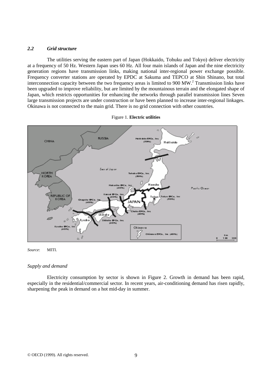# *2.2 Grid structure*

 The utilities serving the eastern part of Japan (Hokkaido, Tohuku and Tokyo) deliver electricity at a frequency of 50 Hz. Western Japan uses 60 Hz. All four main islands of Japan and the nine electricity generation regions have transmission links, making national inter-regional power exchange possible. Frequency converter stations are operated by EPDC at Sakuma and TEPCO at Shin Shinano, but total interconnection capacity between the two frequency areas is limited to 900 MW.<sup>2</sup> Transmission links have been upgraded to improve reliability, but are limited by the mountainous terrain and the elongated shape of Japan, which restricts opportunities for enhancing the networks through parallel transmission lines Seven large transmission projects are under construction or have been planned to increase inter-regional linkages. Okinawa is not connected to the main grid. There is no grid connection with other countries.



Figure 1. **Electric utilities** 

*Source*: MITI.

# *Supply and demand*

 Electricity consumption by sector is shown in Figure 2. Growth in demand has been rapid, especially in the residential/commercial sector. In recent years, air-conditioning demand has risen rapidly, sharpening the peak in demand on a hot mid-day in summer.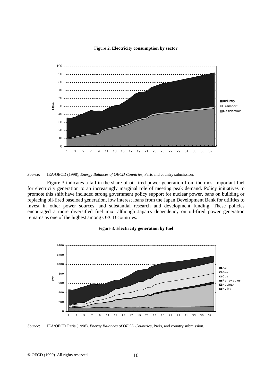

#### Figure 2. **Electricity consumption by sector**

#### *Source*: IEA/OECD (1998), *Energy Balances of OECD Countries,* Paris and country submission.

 Figure 3 indicates a fall in the share of oil-fired power generation from the most important fuel for electricity generation to an increasingly marginal role of meeting peak demand. Policy initiatives to promote this shift have included strong government policy support for nuclear power, bans on building or replacing oil-fired baseload generation, low interest loans from the Japan Development Bank for utilities to invest in other power sources, and substantial research and development funding. These policies encouraged a more diversified fuel mix, although Japan's dependency on oil-fired power generation remains as one of the highest among OECD countries.



#### Figure 3. **Electricity generation by fuel**

*Source*: IEA/OECD Paris (1998), *Energy Balances of OECD Countries,* Paris, and country submission.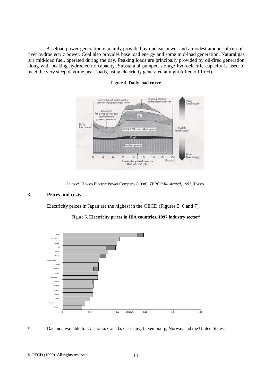Baseload power generation is mainly provided by nuclear power and a modest amount of run-ofriver hydroelectric power. Coal also provides base load energy and some mid-load generation. Natural gas is a mid-load fuel, operated during the day. Peaking loads are principally provided by oil-fired generation along with peaking hydroelectric capacity. Substantial pumped storage hydroelectric capacity is used to meet the very steep daytime peak loads, using electricity generated at night (often oil-fired).



Figure 4. **Daily load curve** 

 *Source*: Tokyo Electric Power Company (1998), *TEPCO Illustrated, 1997,* Tokyo.

# **3. Prices and costs**

Electricity prices in Japan are the highest in the OECD (Figures 5, 6 and 7).



Figure 5. **Electricity prices in IEA countries, 1997 industry sector\*** 

\* Data not available for Australia, Canada, Germany, Luxembourg, Norway and the United States.

© OECD (1999). All rights reserved. 11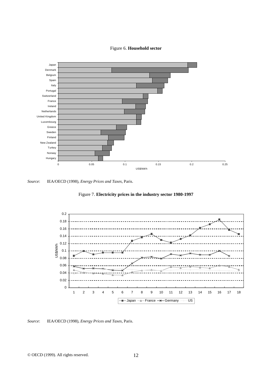# Figure 6. **Household sector**



*Source*: IEA/OECD (1998), *Energy Prices and Taxes*, Paris.





*Source*: IEA/OECD (1998), *Energy Prices and Taxes*, Paris.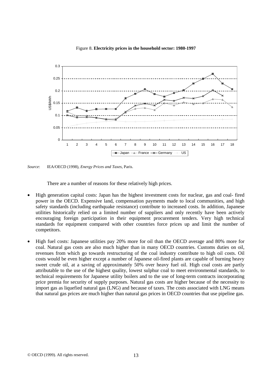

Figure 8. **Electricity prices in the household sector: 1980-1997** 

*Source*: IEA/OECD (1998), *Energy Prices and Taxes*, Paris.

There are a number of reasons for these relatively high prices.

- $\bullet$  High generation capital costs: Japan has the highest investment costs for nuclear, gas and coal- fired power in the OECD. Expensive land, compensation payments made to local communities, and high safety standards (including earthquake resistance) contribute to increased costs. In addition, Japanese utilities historically relied on a limited number of suppliers and only recently have been actively encouraging foreign participation in their equipment procurement tenders. Very high technical standards for equipment compared with other countries force prices up and limit the number of competitors.
- $\bullet$  High fuel costs: Japanese utilities pay 20% more for oil than the OECD average and 80% more for coal. Natural gas costs are also much higher than in many OECD countries. Customs duties on oil, revenues from which go towards restructuring of the coal industry contribute to high oil costs. Oil costs would be even higher except a number of Japanese oil-fired plants are capable of burning heavy sweet crude oil, at a saving of approximately 50% over heavy fuel oil. High coal costs are partly attributable to the use of the highest quality, lowest sulphur coal to meet environmental standards, to technical requirements for Japanese utility boilers and to the use of long-term contracts incorporating price premia for security of supply purposes. Natural gas costs are higher because of the necessity to import gas as liquefied natural gas (LNG) and because of taxes. The costs associated with LNG means that natural gas prices are much higher than natural gas prices in OECD countries that use pipeline gas.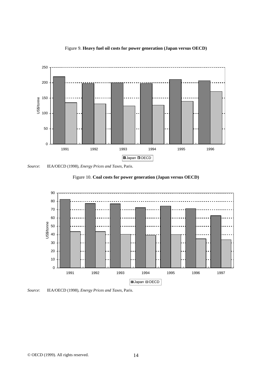

Figure 9. **Heavy fuel oil costs for power generation (Japan versus OECD)** 

*Source*: IEA/OECD (1998), *Energy Prices and Taxes*, Paris.





*Source*: IEA/OECD (1998), *Energy Prices and Taxes*, Paris.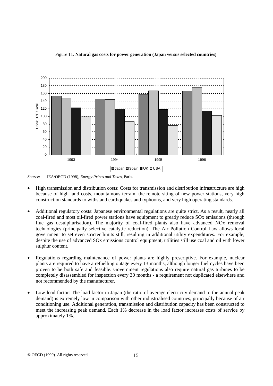

# Figure 11. **Natural gas costs for power generation (Japan versus selected countries)**

*Source*: IEA/OECD (1998), *Energy Prices and Taxes*, Paris.

- - High transmission and distribution costs: Costs for transmission and distribution infrastructure are high because of high land costs, mountainous terrain, the remote siting of new power stations, very high construction standards to withstand earthquakes and typhoons, and very high operating standards.
- $\bullet$  Additional regulatory costs: Japanese environmental regulations are quite strict. As a result, nearly all coal-fired and most oil-fired power stations have equipment to greatly reduce SOx emissions (through flue gas desulphurisation). The majority of coal-fired plants also have advanced NOx removal technologies (principally selective catalytic reduction). The Air Pollution Control Law allows local government to set even stricter limits still, resulting in additional utility expenditures. For example, despite the use of advanced SOx emissions control equipment, utilities still use coal and oil with lower sulphur content.
- $\bullet$  Regulations regarding maintenance of power plants are highly prescriptive. For example, nuclear plants are required to have a refuelling outage every 13 months, although longer fuel cycles have been proven to be both safe and feasible. Government regulations also require natural gas turbines to be completely disassembled for inspection every 30 months - a requirement not duplicated elsewhere and not recommended by the manufacturer.
- $\bullet$  Low load factor: The load factor in Japan (the ratio of average electricity demand to the annual peak demand) is extremely low in comparison with other industrialised countries, principally because of air conditioning use. Additional generation, transmission and distribution capacity has been constructed to meet the increasing peak demand. Each 1% decrease in the load factor increases costs of service by approximately 1%.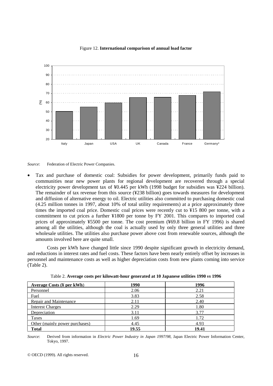

#### Figure 12. **International comparison of annual load factor**

- Tax and purchase of domestic coal: Subsidies for power development, primarily funds paid to communities near new power plants for regional development are recovered through a special electricity power development tax of ¥0.445 per kWh (1998 budget for subsidies was ¥224 billion). The remainder of tax revenue from this source (¥238 billion) goes towards measures for development and diffusion of alternative energy to oil. Electric utilities also committed to purchasing domestic coal (4.25 million tonnes in 1997, about 10% of total utility requirements) at a price approximately three times the imported coal price. Domestic coal prices were recently cut to ¥15 800 per tonne, with a commitment to cut prices a further ¥1800 per tonne by FY 2001. This compares to imported coal prices of approximately ¥5500 per tonne. The cost premium (¥69.8 billion in FY 1996) is shared among all the utilities, although the coal is actually used by only three general utilities and three wholesale utilities. The utilities also purchase power above cost from renewable sources, although the amounts involved here are quite small.

 Costs per kWh have changed little since 1990 despite significant growth in electricity demand, and reductions in interest rates and fuel costs. These factors have been nearly entirely offset by increases in personnel and maintenance costs as well as higher depreciation costs from new plants coming into service (Table 2).

| <b>Average Costs (¥ per kWh)</b> | 1990  | 1996  |
|----------------------------------|-------|-------|
| Personnel                        | 2.06  | 2.21  |
| Fuel                             | 3.83  | 2.58  |
| Repair and Maintenance           | 2.11  | 2.40  |
| <b>Interest Charges</b>          | 2.29  | 1.80  |
| Depreciation                     | 3.11  | 3.77  |
| Taxes                            | 1.69  | 1.72  |
| Other (mainly power purchases)   | 4.45  | 4.93  |
| <b>Total</b>                     | 19.55 | 19.41 |

|  | Table 2. Average costs per kilowatt-hour generated at 10 Japanese utilities 1990 vs 1996 |  |
|--|------------------------------------------------------------------------------------------|--|
|  |                                                                                          |  |

*Source*: Derived from information in *Electric Power Industry in Japan 1997/98,* Japan Electric Power Information Center, Tokyo, 1997.

*Source*: Federation of Electric Power Companies.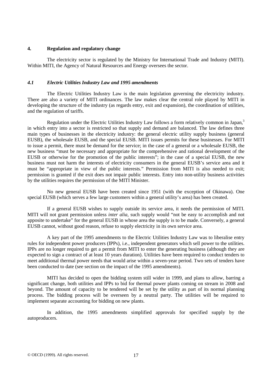# **4. Regulation and regulatory change**

 The electricity sector is regulated by the Ministry for International Trade and Industry (MITI). Within MITI, the Agency of Natural Resources and Energy oversees the sector.

# *4.1 Electric Utilities Industry Law and 1995 amendments*

 The Electric Utilities Industry Law is the main legislation governing the electricity industry. There are also a variety of MITI ordinances. The law makes clear the central role played by MITI in developing the structure of the industry (as regards entry, exit and expansion), the coordination of utilities, and the regulation of tariffs.

Regulation under the Electric Utilities Industry Law follows a form relatively common in Japan,<sup>3</sup> in which entry into a sector is restricted so that supply and demand are balanced. The law defines three main types of businesses in the electricity industry: the general electric utility supply business (general EUSB), the wholesale EUSB, and the special EUSB. MITI issues permits for these businesses. For MITI to issue a permit, there must be demand for the service; in the case of a general or a wholesale EUSB, the new business "must be necessary and appropriate for the comprehensive and rational development of the EUSB or otherwise for the promotion of the public interests"; in the case of a special EUSB, the new business must not harm the interests of electricity consumers in the general EUSB's service area and it must be "appropriate in view of the public interests." Permission from MITI is also needed to exit; permission is granted if the exit does not impair public interests. Entry into non-utility business activities by the utilities requires the permission of the MITI Minister.

 No new general EUSB have been created since 1951 (with the exception of Okinawa). One special EUSB (which serves a few large customers within a general utility's area) has been created.

 If a general EUSB wishes to supply outside its service area, it needs the permission of MITI. MITI will not grant permission unless *inter alia*, such supply would "not be easy to accomplish and not apposite to undertake" for the general EUSB in whose area the supply is to be made. Conversely, a general EUSB cannot, without good reason, refuse to supply electricity in its own service area.

 A key part of the 1995 amendments to the Electric Utilities Industry Law was to liberalise entry rules for independent power producers (IPPs), i.e., independent generators which sell power to the utilities. IPPs are no longer required to get a permit from MITI to enter the generating business (although they are expected to sign a contract of at least 10 years duration). Utilities have been required to conduct tenders to meet additional thermal power needs that would arise within a seven-year period. Two sets of tenders have been conducted to date (see section on the impact of the 1995 amendments).

 MITI has decided to open the bidding system still wider in 1999, and plans to allow, barring a significant change, both utilities and IPPs to bid for thermal power plants coming on stream in 2008 and beyond. The amount of capacity to be tendered will be set by the utility as part of its normal planning process. The bidding process will be overseen by a neutral party. The utilities will be required to implement separate accounting for bidding on new plants.

 In addition, the 1995 amendments simplified approvals for specified supply by the autoproducers.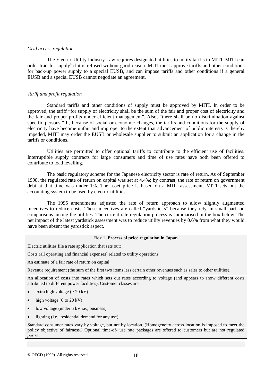# *Grid access regulation*

 The Electric Utility Industry Law requires designated utilities to notify tariffs to MITI. MITI can order transfer supply<sup>4</sup> if it is refused without good reason. MITI must approve tariffs and other conditions for back-up power supply to a special EUSB, and can impose tariffs and other conditions if a general EUSB and a special EUSB cannot negotiate an agreement.

# *Tariff and profit regulation*

 Standard tariffs and other conditions of supply must be approved by MITI. In order to be approved, the tariff "for supply of electricity shall be the sum of the fair and proper cost of electricity and the fair and proper profits under efficient management". Also, "there shall be no discrimination against specific persons." If, because of social or economic changes, the tariffs and conditions for the supply of electricity have become unfair and improper to the extent that advancement of public interests is thereby impeded, MITI may order the EUSB or wholesale supplier to submit an application for a change in the tariffs or conditions.

 Utilities are permitted to offer optional tariffs to contribute to the efficient use of facilities. Interruptible supply contracts for large consumers and time of use rates have both been offered to contribute to load levelling.

 The basic regulatory scheme for the Japanese electricity sector is rate of return. As of September 1998, the regulated rate of return on capital was set at 4.4%; by contrast, the rate of return on government debt at that time was under 1%. The asset price is based on a MITI assessment. MITI sets out the accounting system to be used by electric utilities.

 The 1995 amendments adjusted the rate of return approach to allow slightly augmented incentives to reduce costs. These incentives are called "yardsticks" because they rely, in small part, on comparisons among the utilities. The current rate regulation process is summarised in the box below. The net impact of the latest yardstick assessment was to reduce utility revenues by 0.6% from what they would have been absent the yardstick aspect.

# Box 1. **Process of price regulation in Japan**

Electric utilities file a rate application that sets out:

Costs (all operating and financial expenses) related to utility operations.

An estimate of a fair rate of return on capital.

Revenue requirement (the sum of the first two items less certain other revenues such as sales to other utilities).

An allocation of costs into rates which sets out rates according to voltage (and appears to show different costs attributed to different power facilities). Customer classes are:

- $\bullet$ extra high voltage (> 20 kV)
- high voltage (6 to 20 kV)
- $\bullet$ low voltage (under 6 kV i.e., business)
- $\bullet$ lighting (i.e., residential demand for any use)

Standard consumer rates vary by voltage, but not by location. (Homogeneity across location is imposed to meet the policy objective of fairness.) Optional time-of- use rate packages are offered to customers but are not regulated *per se*.

<sup>©</sup> OECD (1999). All rights reserved. 18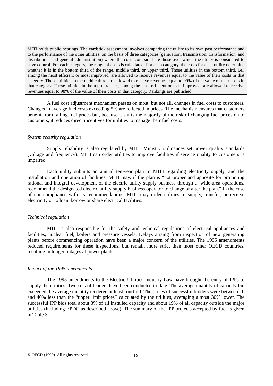MITI holds public hearings. The yardstick assessment involves comparing the utility to its own past performance and to the performance of the other utilities, on the basis of three categories (generation; transmission, transformation, and distribution; and general administration) where the costs compared are those over which the utility is considered to have control. For each category, the range of costs is calculated. For each category, the costs for each utility determine whether it is in the bottom third of the range, middle third, or upper third. Those utilities in the bottom third, i.e., among the most efficient or most improved, are allowed to receive revenues equal to the value of their costs in that category. Those utilities in the middle third, are allowed to receive revenues equal to 99% of the value of their costs in that category. Those utilities in the top third, i.e., among the least efficient or least improved, are allowed to receive revenues equal to 98% of the value of their costs in that category. Rankings are published.

 A fuel cost adjustment mechanism passes on most, but not all, changes in fuel costs to customers. Changes in average fuel costs exceeding 5% are reflected in prices. The mechanism ensures that customers benefit from falling fuel prices but, because it shifts the majority of the risk of changing fuel prices on to customers, it reduces direct incentives for utilities to manage their fuel costs.

#### *System security regulation*

 Supply reliability is also regulated by MITI. Ministry ordinances set power quality standards (voltage and frequency). MITI can order utilities to improve facilities if service quality to customers is impaired.

 Each utility submits an annual ten-year plan to MITI regarding electricity supply, and the installation and operation of facilities. MITI may, if the plan is "not proper and apposite for promoting rational and integral development of the electric utility supply business through ... wide-area operations, recommend the designated electric utility supply business operator to change or alter the plan." In the case of non-compliance with its recommendations, MITI may order utilities to supply, transfer, or receive electricity or to loan, borrow or share electrical facilities.

# *Technical regulation*

 MITI is also responsible for the safety and technical regulations of electrical appliances and facilities, nuclear fuel, boilers and pressure vessels. Delays arising from inspection of new generating plants before commencing operation have been a major concern of the utilities. The 1995 amendments reduced requirements for these inspections, but remain more strict than most other OECD countries, resulting in longer outages at power plants.

# *Impact of the 1995 amendments*

 The 1995 amendments to the Electric Utilities Industry Law have brought the entry of IPPs to supply the utilities. Two sets of tenders have been conducted to date. The average quantity of capacity bid exceeded the average quantity tendered at least fourfold. The prices of successful bidders were between 10 and 40% less than the "upper limit prices" calculated by the utilities, averaging almost 30% lower. The successful IPP bids total about 3% of all installed capacity and about 19% of all capacity outside the major utilities (including EPDC as described above). The summary of the IPP projects accepted by fuel is given in Table 3.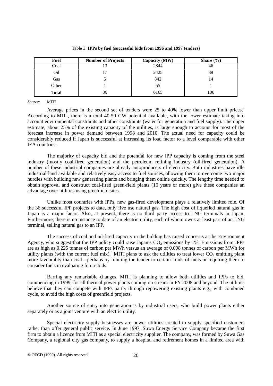| <b>Fuel</b>  | <b>Number of Projects</b> | Capacity (MW) | Share $(\% )$ |
|--------------|---------------------------|---------------|---------------|
| Coal         | 13                        | 2844          | 46            |
| Oil          |                           | 2425          | 39            |
| Gas          |                           | 842           | 14            |
| Other        |                           | 55            |               |
| <b>Total</b> | 36                        | 6165          | 100           |

Table 3. **IPPs by fuel (successful bids from 1996 and 1997 tenders)**

*Source*: MITI

Average prices in the second set of tenders were 25 to 40% lower than upper limit prices.<sup>5</sup> According to MITI, there is a total 40-50 GW potential available, with the lower estimate taking into account environmental constraints and other constraints (water for generation and fuel supply). The upper estimate, about 25% of the existing capacity of the utilities, is large enough to account for most of the forecast increase in power demand between 1998 and 2010. The actual need for capacity could be considerably reduced if Japan is successful at increasing its load factor to a level comparable with other IEA countries.

 The majority of capacity bid and the potential for new IPP capacity is coming from the steel industry (mostly coal-fired generation) and the petroleum refining industry (oil-fired generation). A number of these industrial companies are already autoproducers of electricity. Both industries have idle industrial land available and relatively easy access to fuel sources, allowing them to overcome two major hurdles with building new generating plants and bringing them online quickly. The lengthy time needed to obtain approval and construct coal-fired green-field plants (10 years or more) give these companies an advantage over utilities using greenfield sites.

 Unlike most countries with IPPs, new gas-fired development plays a relatively limited role. Of the 36 successful IPP projects to date, only five use natural gas. The high cost of liquefied natural gas in Japan is a major factor. Also, at present, there is no third party access to LNG terminals in Japan. Furthermore, there is no instance to date of an electric utility, each of whom owns at least part of an LNG terminal, selling natural gas to an IPP.

 The success of coal and oil-fired capacity in the bidding has raised concerns at the Environment Agency, who suggest that the IPP policy could raise Japan's  $CO<sub>2</sub>$  emissions by 1%. Emissions from IPPs are as high as 0.225 tonnes of carbon per MWh versus an average of 0.098 tonnes of carbon per MWh for utility plants (with the current fuel mix).<sup>6</sup> MITI plans to ask the utilities to treat lower  $CO_2$  emitting plant more favourably than coal - perhaps by limiting the tender to certain kinds of fuels or requiring them to consider fuels in evaluating future bids.

 Barring any remarkable changes, MITI is planning to allow both utilities and IPPs to bid, commencing in 1999, for all thermal power plants coming on stream in FY 2008 and beyond. The utilities believe that they can compete with IPPs partly through repowering existing plants e.g., with combined cycle, to avoid the high costs of greenfield projects.

 Another source of entry into generation is by industrial users, who build power plants either separately or as a joint venture with an electric utility.

 Special electricity supply businesses are power utilities created to supply specified customers rather than offer general public service. In June 1997, Suwa Energy Service Company became the first firm to obtain a licence from MITI as a special electricity supplier. The company, was formed by Suwa Gas Company, a regional city gas company, to supply a hospital and retirement homes in a limited area with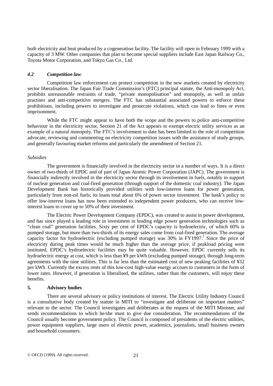both electricity and heat produced by a cogeneration facility. The facility will open in February 1999 with a capacity of 3 MW. Other companies that plan to become special suppliers include East Japan Railway Co., Toyota Motor Corporation, and Tokyo Gas Co., Ltd.

# *4.2 Competition law*

 Competition law enforcement can protect competition in the new markets created by electricity sector liberalisation. The Japan Fair Trade Commission's (FTC) principal statute, the Anti-monopoly Act, prohibits unreasonable restraints of trade, "private monopolisation" and monopoly, as well as unfair practises and anti-competitive mergers. The FTC has substantial associated powers to enforce these prohibitions, including powers to investigate and prosecute violations, which can lead to fines or even imprisonment.

 While the FTC might appear to have both the scope and the powers to police anti-competitive behaviour in the electricity sector, Section 21 of the Act appears to exempt electric utility services as an example of a natural monopoly. The FTC's involvement to date has been limited to the role of competition advocate, reviewing and commenting on electricity competition issues with the assistance of study groups, and generally favouring market reforms and particularly the amendment of Section 21.

# *Subsidies*

 The government is financially involved in the electricity sector in a number of ways. It is a direct owner of two-thirds of EPDC and of part of Japan Atomic Power Corporation (JAPC). The government is financially indirectly involved in the electricity sector through its involvement in fuels, notably in support of nuclear generation and coal-fired generation (through support of the domestic coal industry). The Japan Development Bank has historically provided utilities with low-interest loans for power generation, particularly from non-oil fuels; its loans total about 6% of power sector investment. The bank's policy to offer low-interest loans has now been extended to independent power producers, who can receive lowinterest loans to cover up to 50% of their investment.

 The Electric Power Development Company (EPDC), was created to assist in power development, and has since played a leading role in investment in leading edge power generation technologies such as "clean coal" generation facilities. Sixty per cent of EPDC's capacity is hydroelectric, of which 60% is pumped storage, but more than two-thirds of its energy sales come from coal-fired generation. The average capacity factor for hydroelectric (excluding pumped storage) was  $30\%$  in FY1997.<sup>7</sup> Since the price of electricity during peak times would be much higher than the average price, if peakload pricing were instituted, EPDC's hydroelectric facilities may be quite valuable. However, EPDC currently sells its hydroelectric energy at cost, which is less than ¥9 per kWh (excluding pumped storage), through long-term agreements with the nine utilities. This is far less than the estimated cost of new peaking facilities of ¥32 per kWh. Currently the excess rents of this low-cost high-value energy accrues to customers in the form of lower rates. However, if generation is liberalised, the utilities, rather than the customers, will enjoy these benefits.

# **5. Advisory bodies**

 There are several advisory or policy institutions of interest. The Electric Utility Industry Council is a consultative body created by statute in MITI to "investigate and deliberate on important matters" relevant to the sector. The Council investigates and deliberates at the request of the MITI Minister, and sends recommendations to which he/she must to give due consideration. The recommendations of the Council usually become government policy. The Council is composed of presidents of the electric utilities, power equipment suppliers, large users of electric power, academics, journalists, small business owners and household consumers.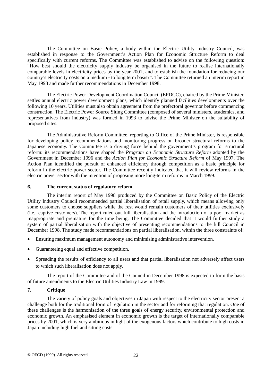The Committee on Basic Policy, a body within the Electric Utility Industry Council, was established in response to the Government's Action Plan for Economic Structure Reform to deal specifically with current reforms. The Committee was established to advise on the following question: "How best should the electricity supply industry be organised in the future to realise internationally comparable levels in electricity prices by the year 2001, and to establish the foundation for reducing our country's electricity costs on a medium - to long term basis?". The Committee returned an interim report in May 1998 and made further recommendations in December 1998.

 The Electric Power Development Coordination Council (EPDCC), chaired by the Prime Minister, settles annual electric power development plans, which identify planned facilities developments over the following 10 years. Utilities must also obtain agreement from the prefectoral governor before commencing construction. The Electric Power Source Siting Committee (composed of several ministers, academics, and representatives from industry) was formed in 1993 to advise the Prime Minister on the suitability of proposed sites.

 The Administrative Reform Committee, reporting to Office of the Prime Minister, is responsible for developing policy recommendations and monitoring progress on broader structural reforms to the Japanese economy. The Committee is a driving force behind the government's program for structural reform: its recommendations have shaped the *Program on Economic Structure Reform* adopted by the Government in December 1996 and the *Action Plan for Economic Structure Reform* of May 1997. The Action Plan identified the pursuit of enhanced efficiency through competition as a basic principle for reform in the electric power sector. The Committee recently indicated that it will review reforms in the electric power sector with the intention of proposing more long-term reforms in March 1999.

# **6. The current status of regulatory reform**

 The interim report of May 1998 produced by the Committee on Basic Policy of the Electric Utility Industry Council recommended partial liberalisation of retail supply, which means allowing only some customers to choose suppliers while the rest would remain customers of their utilities exclusively (i.e., captive customers). The report ruled out full liberalisation and the introduction of a pool market as inappropriate and premature for the time being. The Committee decided that it would further study a system of partial liberalisation with the objective of presenting recommendations to the full Council in December 1998. The study made recommendations on partial liberalisation, within the three constraints of:

- $\bullet$ Ensuring maximum management autonomy and minimising administrative intervention.
- $\bullet$ Guaranteeing equal and effective competition.
- $\bullet$  Spreading the results of efficiency to all users and that partial liberalisation not adversely affect users to which such liberalisation does not apply.

 The report of the Committee and of the Council in December 1998 is expected to form the basis of future amendments to the Electric Utilities Industry Law in 1999.

# **7. Critique**

 The variety of policy goals and objectives in Japan with respect to the electricity sector present a challenge both for the traditional form of regulation in the sector and for reforming that regulation. One of these challenges is the harmonisation of the three goals of energy security, environmental protection and economic growth. An emphasised element in economic growth is the target of internationally comparable prices by 2001, which is very ambitious in light of the exogenous factors which contribute to high costs in Japan including high fuel and sitting costs.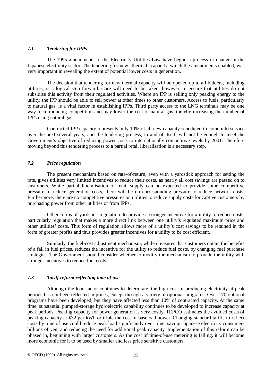# *7.1 Tendering for IPPs*

 The 1995 amendments to the Electricity Utilities Law have begun a process of change in the Japanese electricity sector. The tendering for new "thermal" capacity, which the amendments enabled, was very important in revealing the extent of potential lower costs in generation.

 The decision that tendering for new thermal capacity will be opened up to all bidders, including utilities, is a logical step forward. Care will need to be taken, however, to ensure that utilities do not subsidise this activity from their regulated activities. Where an IPP is selling only peaking energy to the utility, the IPP should be able to sell power at other times to other customers. Access to fuels, particularly to natural gas, is a vital factor in establishing IPPs. Third party access to the LNG terminals may be one way of introducing competition and may lower the cost of natural gas, thereby increasing the number of IPPs using natural gas.

 Contracted IPP capacity represents only 10% of all new capacity scheduled to come into service over the next several years, and the tendering process, in and of itself, will not be enough to meet the Government's objective of reducing power costs to internationally competitive levels by 2001. Therefore moving beyond this tendering process to a partial retail liberalisation is a necessary step.

# *7.2 Price regulation*

 The present mechanism based on rate-of-return, even with a yardstick approach for setting the rate, gives utilities very limited incentives to reduce their costs, as nearly all cost savings are passed on to customers. While partial liberalisation of retail supply can be expected to provide some competitive pressure to reduce generation costs, there will be no corresponding pressure to reduce network costs. Furthermore, there are no competitive pressures on utilities to reduce supply costs for captive customers by purchasing power from other utilities or from IPPs.

 Other forms of yardstick regulation do provide a stronger incentive for a utility to reduce costs, particularly regulation that makes a more direct link between one utility's regulated maximum price and other utilities' costs. This form of regulation allows more of a utility's cost savings to be retained in the form of greater profits and thus provides greater incentives for a utility to be cost efficient.

 Similarly, the fuel-cost adjustment mechanism, while it ensures that customers obtain the benefits of a fall in fuel prices, reduces the incentive for the utility to reduce fuel costs, by changing fuel purchase strategies. The Government should consider whether to modify the mechanism to provide the utility with stronger incentives to reduce fuel costs.

# *7.3 Tariff reform reflecting time of use*

 Although the load factor continues to deteriorate, the high cost of producing electricity at peak periods has not been reflected in prices, except through a variety of optional programs. Over 170 optional programs have been developed, but they have affected less than 10% of contracted capacity. At the same time, substantial pumped-storage hydroelectric capability continues to be developed to increase capacity at peak periods. Peaking capacity for power generation is very costly. TEPCO estimates the avoided costs of peaking capacity at ¥32 per kWh or triple the cost of baseload power. Changing standard tariffs to reflect costs by time of use could reduce peak load significantly over time, saving Japanese electricity consumers billions of yen, and reducing the need for additional peak capacity. Implementation of this reform can be phased in, beginning with larger customers. As the cost of time-of-use metering is falling, it will become more economic for it to be used by smaller and less price sensitive customers.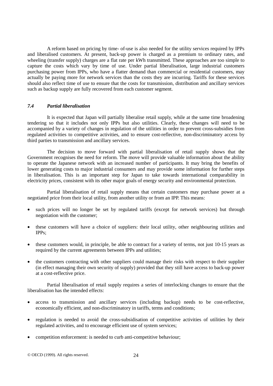A reform based on pricing by time- of-use is also needed for the utility services required by IPPs and liberalised customers. At present, back-up power is charged as a premium to ordinary rates, and wheeling (transfer supply) charges are a flat rate per kWh transmitted. These approaches are too simple to capture the costs which vary by time of use. Under partial liberalisation, large industrial customers purchasing power from IPPs, who have a flatter demand than commercial or residential customers, may actually be paying more for network services than the costs they are incurring. Tariffs for these services should also reflect time of use to ensure that the costs for transmission, distribution and ancillary services such as backup supply are fully recovered from each customer segment.

# *7.4 Partial liberalisation*

 It is expected that Japan will partially liberalise retail supply, while at the same time broadening tendering so that it includes not only IPPs but also utilities. Clearly, these changes will need to be accompanied by a variety of changes in regulation of the utilities in order to prevent cross-subsidies from regulated activities to competitive activities, and to ensure cost-reflective, non-discriminatory access by third parties to transmission and ancillary services.

 The decision to move forward with partial liberalisation of retail supply shows that the Government recognises the need for reform. The move will provide valuable information about the ability to operate the Japanese network with an increased number of participants. It may bring the benefits of lower generating costs to major industrial consumers and may provide some information for further steps in liberalisation. This is an important step for Japan to take towards international comparability in electricity prices, consistent with its other major goals of energy security and environmental protection.

 Partial liberalisation of retail supply means that certain customers may purchase power at a negotiated price from their local utility, from another utility or from an IPP. This means:

- $\bullet$  such prices will no longer be set by regulated tariffs (except for network services) but through negotiation with the customer;
- $\bullet$  these customers will have a choice of suppliers: their local utility, other neighbouring utilities and IPPs;
- $\bullet$  these customers would, in principle, be able to contract for a variety of terms, not just 10-15 years as required by the current agreements between IPPs and utilities;
- $\bullet$  the customers contracting with other suppliers could manage their risks with respect to their supplier (in effect managing their own security of supply) provided that they still have access to back-up power at a cost-reflective price.

 Partial liberalisation of retail supply requires a series of interlocking changes to ensure that the liberalisation has the intended effects:

- $\bullet$  access to transmission and ancillary services (including backup) needs to be cost-reflective, economically efficient, and non-discriminatory in tariffs, terms and conditions;
- $\bullet$  regulation is needed to avoid the cross-subsidisation of competitive activities of utilities by their regulated activities, and to encourage efficient use of system services;
- $\bullet$ competition enforcement: is needed to curb anti-competitive behaviour;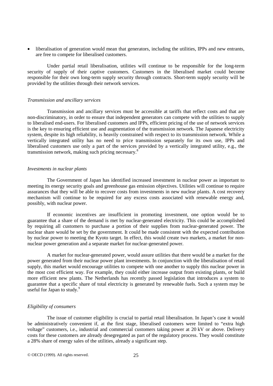$\bullet$  liberalisation of generation would mean that generators, including the utilities, IPPs and new entrants, are free to compete for liberalised customers.

 Under partial retail liberalisation, utilities will continue to be responsible for the long-term security of supply of their captive customers. Customers in the liberalised market could become responsible for their own long-term supply security through contracts. Short-term supply security will be provided by the utilities through their network services.

#### *Transmission and ancillary services*

 Transmission and ancillary services must be accessible at tariffs that reflect costs and that are non-discriminatory, in order to ensure that independent generators can compete with the utilities to supply to liberalised end-users. For liberalised customers and IPPs, efficient pricing of the use of network services is the key to ensuring efficient use and augmentation of the transmission network. The Japanese electricity system, despite its high reliability, is heavily constrained with respect to its transmission network. While a vertically integrated utility has no need to price transmission separately for its own use, IPPs and liberalised customers use only a part of the services provided by a vertically integrated utility, e.g., the transmission network, making such pricing necessary.8

# *Investments in nuclear plants*

 The Government of Japan has identified increased investment in nuclear power as important to meeting its energy security goals and greenhouse gas emission objectives. Utilities will continue to require assurances that they will be able to recover costs from investments in new nuclear plants. A cost recovery mechanism will continue to be required for any excess costs associated with renewable energy and, possibly, with nuclear power.

 If economic incentives are insufficient in promoting investment, one option would be to guarantee that a share of the demand is met by nuclear-generated electricity. This could be accomplished by requiring all customers to purchase a portion of their supplies from nuclear-generated power. The nuclear share would be set by the government. It could be made consistent with the expected contribution by nuclear power to meeting the Kyoto target. In effect, this would create two markets, a market for nonnuclear power generation and a separate market for nuclear-generated power.

 A market for nuclear-generated power, would assure utilities that there would be a market for the power generated from their nuclear power plant investments. In conjunction with the liberalisation of retail supply, this market would encourage utilities to compete with one another to supply this nuclear power in the most cost efficient way. For example, they could either increase output from existing plants, or build more efficient new plants. The Netherlands has recently passed legislation that introduces a system to guarantee that a specific share of total electricity is generated by renewable fuels. Such a system may be useful for Japan to study.<sup>9</sup>

# *Eligibility of consumers*

 The issue of customer eligibility is crucial to partial retail liberalisation. In Japan's case it would be administratively convenient if, at the first stage, liberalised customers were limited to "extra high voltage" customers, i.e., industrial and commercial customers taking power at 20 kV or above. Delivery costs for these customers are already desegregated as part of the regulatory process. They would constitute a 28% share of energy sales of the utilities, already a significant step.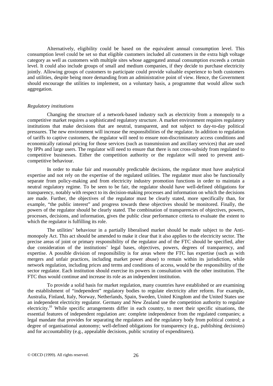Alternatively, eligibility could be based on the equivalent annual consumption level. This consumption level could be set so that eligible customers included all customers in the extra high voltage category as well as customers with multiple sites whose aggregated annual consumption exceeds a certain level. It could also include groups of small and medium companies, if they decide to purchase electricity jointly. Allowing groups of customers to participate could provide valuable experience to both customers and utilities, despite being more demanding from an administrative point of view. Hence, the Government should encourage the utilities to implement, on a voluntary basis, a programme that would allow such aggregation.

# *Regulatory institutions*

 Changing the structure of a network-based industry such as electricity from a monopoly to a competitive market requires a sophisticated regulatory structure. A market environment requires regulatory institutions that make decisions that are neutral, transparent, and not subject to day-to-day political pressures. The new environment will increase the responsibilities of the regulator. In addition to regulation of tariffs to captive customers, the regulator will need to ensure non-discriminatory access conditions and economically rational pricing for those services (such as transmission and ancillary services) that are used by IPPs and large users. The regulator will need to ensure that there is not cross-subsidy from regulated to competitive businesses. Either the competition authority or the regulator will need to prevent anticompetitive behaviour.

 In order to make fair and reasonably predictable decisions, the regulator must have analytical expertise and not rely on the expertise of the regulated utilities. The regulator must also be functionally separate from policy-making and from electricity industry promotion functions in order to maintain a neutral regulatory regime. To be seen to be fair, the regulator should have well-defined obligations for transparency, notably with respect to its decision-making processes and information on which the decisions are made. Further, the objectives of the regulator must be clearly stated, more specifically than, for example, "the public interest" and progress towards these objectives should be monitored. Finally, the powers of the regulator should be clearly stated. The combination of transparencies of objectives, powers, processes, decisions, and information, gives the public clear performance criteria to evaluate the extent to which the regulator is fulfilling its role.

 The utilities' behaviour in a partially liberalised market should be made subject to the Antimonopoly Act. This act should be amended to make it clear that it also applies to the electricity sector. The precise areas of joint or primary responsibility of the regulator and of the FTC should be specified, after due consideration of the institutions' legal bases, objectives, powers, degrees of transparency, and expertise. A possible division of responsibility is for areas where the FTC has expertise (such as with mergers and unfair practices, including market power abuse) to remain within its jurisdiction, while network regulation, including prices and terms and conditions of access, would be the responsibility of the sector regulator. Each institution should exercise its powers in consultation with the other institution. The FTC thus would continue and increase its role as an independent institution.

 To provide a solid basis for market regulation, many countries have established or are examining the establishment of "independent" regulatory bodies to regulate electricity after reform. For example, Australia, Finland, Italy, Norway, Netherlands, Spain, Sweden, United Kingdom and the United States use an independent electricity regulator. Germany and New Zealand use the competition authority to regulate electricity.<sup>10</sup> While specific arrangements differ in each country, to meet their specific situations, the essential features of independent regulation are: complete independence from the regulated companies; a legal mandate that provides for separating the regulators and the regulatory body from political control; a degree of organisational autonomy; well-defined obligations for transparency (e.g., publishing decisions) and for accountability (e.g., appealable decisions, public scrutiny of expenditures).

© OECD (1999). All rights reserved. 26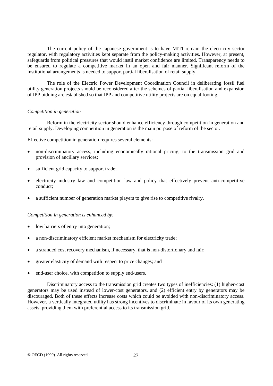The current policy of the Japanese government is to have MITI remain the electricity sector regulator, with regulatory activities kept separate from the policy-making activities. However, at present, safeguards from political pressures that would instil market confidence are limited. Transparency needs to be ensured to regulate a competitive market in an open and fair manner. Significant reform of the institutional arrangements is needed to support partial liberalisation of retail supply.

 The role of the Electric Power Development Coordination Council in deliberating fossil fuel utility generation projects should be reconsidered after the schemes of partial liberalisation and expansion of IPP bidding are established so that IPP and competitive utility projects are on equal footing.

# *Competition in generation*

 Reform in the electricity sector should enhance efficiency through competition in generation and retail supply. Developing competition in generation is the main purpose of reform of the sector.

Effective competition in generation requires several elements:

- $\bullet$  non-discriminatory access, including economically rational pricing, to the transmission grid and provision of ancillary services;
- sufficient grid capacity to support trade;
- $\bullet$  electricity industry law and competition law and policy that effectively prevent anti-competitive conduct;
- $\bullet$ a sufficient number of generation market players to give rise to competitive rivalry.

#### *Competition in generation is enhanced by:*

- $\bullet$ low barriers of entry into generation;
- $\bullet$ a non-discriminatory efficient market mechanism for electricity trade;
- $\bullet$ a stranded cost recovery mechanism, if necessary, that is non-distortionary and fair;
- $\bullet$ greater elasticity of demand with respect to price changes; and
- $\bullet$ end-user choice, with competition to supply end-users.

 Discriminatory access to the transmission grid creates two types of inefficiencies: (1) higher-cost generators may be used instead of lower-cost generators, and (2) efficient entry by generators may be discouraged. Both of these effects increase costs which could be avoided with non-discriminatory access. However, a vertically integrated utility has strong incentives to discriminate in favour of its own generating assets, providing them with preferential access to its transmission grid.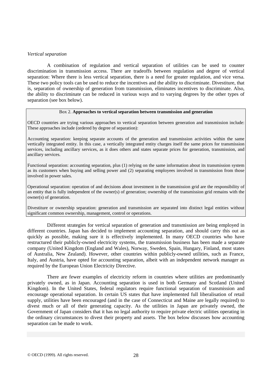# *Vertical separation*

 A combination of regulation and vertical separation of utilities can be used to counter discrimination in transmission access. There are tradeoffs between regulation and degree of vertical separation: Where there is less vertical separation, there is a need for greater regulation, and vice versa. These two policy tools can be used to reduce the incentives and the ability to discriminate. Divestiture, that is, separation of ownership of generation from transmission, eliminates incentives to discriminate. Also, the ability to discriminate can be reduced in various ways and to varying degrees by the other types of separation (see box below).

# Box 2. **Approaches to vertical separation between transmission and generation**

OECD countries are trying various approaches to vertical separation between generation and transmission include: These approaches include (ordered by degree of separation):

Accounting separation: keeping separate accounts of the generation and transmission activities within the same vertically integrated entity. In this case, a vertically integrated entity charges itself the same prices for transmission services, including ancillary services, as it does others and states separate prices for generation, transmission, and ancillary services.

Functional separation: accounting separation, plus (1) relying on the same information about its transmission system as its customers when buying and selling power and (2) separating employees involved in transmission from those involved in power sales.

Operational separation: operation of and decisions about investment in the transmission grid are the responsibility of an entity that is fully independent of the owner(s) of generation; ownership of the transmission grid remains with the owner(s) of generation.

Divestiture or ownership separation: generation and transmission are separated into distinct legal entities without significant common ownership, management, control or operations.

 Different strategies for vertical separation of generation and transmission are being employed in different countries. Japan has decided to implement accounting separation, and should carry this out as quickly as possible, making sure it is effectively implemented. In many OECD countries who have restructured their publicly-owned electricity systems, the transmission business has been made a separate company (United Kingdom (England and Wales), Norway, Sweden, Spain, Hungary, Finland, most states of Australia, New Zealand). However, other countries within publicly-owned utilities, such as France, Italy, and Austria, have opted for accounting separation, albeit with an independent network manager as required by the European Union Electricity Directive.

 There are fewer examples of electricity reform in countries where utilities are predominantly privately owned, as in Japan. Accounting separation is used in both Germany and Scotland (United Kingdom). In the United States, federal regulators require functional separation of transmission and encourage operational separation. In certain US states that have implemented full liberalisation of retail supply, utilities have been encouraged (and in the case of Connecticut and Maine are legally required) to divest much or all of their generating capacity. As the utilities in Japan are privately owned, the Government of Japan considers that it has no legal authority to require private electric utilities operating in the ordinary circumstances to divest their property and assets. The box below discusses how accounting separation can be made to work.

© OECD (1999). All rights reserved. 28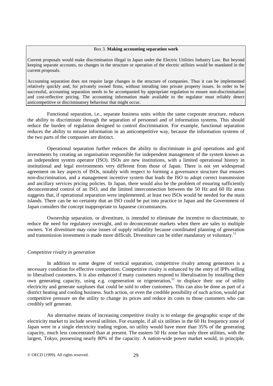#### Box 3. **Making accounting separation work**

Current proposals would make discrimination illegal in Japan under the Electric Utilities Industry Law. But beyond keeping separate accounts, no changes in the structure or operation of the electric utilities would be mandated in the current proposals.

Accounting separation does not require large changes in the structure of companies. Thus it can be implemented relatively quickly and, for privately owned firms, without intruding into private property issues. In order to be successful, accounting separation needs to be accompanied by appropriate regulation to ensure non-discrimination and cost-reflective pricing. The accounting information made available to the regulator must reliably detect anticompetitive or discriminatory behaviour that might occur.

 Functional separation, i.e., separate business units within the same corporate structure, reduces the ability to discriminate through the separation of personnel and of information systems. This should reduce the burden of regulation designed to control discrimination. For example, functional separation reduces the ability to misuse information in an anticompetitive way, because the information systems of the two parts of the companies are distinct.

 Operational separation further reduces the ability to discriminate in grid operations and grid investments by creating an organisation responsible for independent management of the system known as an independent system operator (ISO). ISOs are new institutions, with a limited operational history in institutional and legal environments very different from those of Japan. There is not yet widespread agreement on key aspects of ISOs, notably with respect to forming a governance structure that ensures non-discrimination, and a management incentive system that leads the ISO to adopt correct transmission and ancillary services pricing policies. In Japan, there would also be the problem of ensuring sufficiently deconcentrated control of an ISO, and the limited interconnection between the 50 Hz and 60 Hz areas suggests that, if operational separation were implemented, at least two ISOs would be needed for the main islands. There can be no certainty that an ISO could be put into practice in Japan and the Government of Japan considers the concept inappropriate to Japanese circumstances.

 Ownership separation, or divestiture, is intended to eliminate the incentive to discriminate, to reduce the need for regulatory oversight, and to deconcentrate markets when there are sales to multiple owners. Yet divestiture may raise issues of supply reliability because coordinated planning of generation and transmission investment is made more difficult. Divestiture can be either mandatory or voluntary.<sup>11</sup>

# *Competitive rivalry in generation*

 In addition to some degree of vertical separation, competitive rivalry among generators is a necessary condition for effective competition. Competitive rivalry is enhanced by the entry of IPPs selling to liberalised customers. It is also enhanced if many customers respond to liberalisation by installing their own generating capacity, using e.g. cogeneration or trigeneration,<sup>12</sup> to displace their use of utility electricity and generate surpluses that could be sold to other customers. This can also be done as part of a district heating and cooling business. Such action, or even the credible possibility of such action, would put competitive pressure on the utility to change its prices and reduce its costs to those customers who can credibly self generate.

 An alternative means of increasing competitive rivalry is to enlarge the geographic scope of the electricity market to include several utilities. For example, if all six utilities in the 60 Hz frequency zone of Japan were in a single electricity trading region, no utility would have more than 35% of the generating capacity, much less concentrated than at present. The eastern 50 Hz zone has only three utilities, with the largest, Tokyo, possessing nearly 80% of the capacity. A nation-wide power market would, in principle,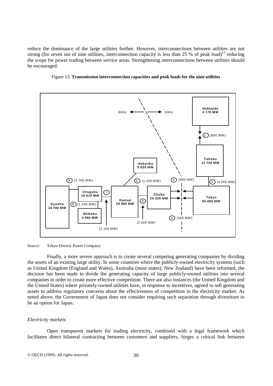reduce the dominance of the large utilities further. However, interconnections between utilities are not strong (for seven out of nine utilities, interconnection capacity is less than 25 % of peak load)<sup>13</sup> reducing the scope for power trading between service areas. Strengthening interconnections between utilities should be encouraged.



#### Figure 13. **Transmission interconnection capacities and peak loads for the nine utilities**

*Source*: Tokyo Electric Power Company.

 Finally, a more severe approach is to create several competing generating companies by dividing the assets of an existing large utility. In some countries where the publicly-owned electricity systems (such as United Kingdom (England and Wales), Australia (most states), New Zealand) have been reformed, the decision has been made to divide the generating capacity of large publicly-owned utilities into several companies in order to create more effective competition. There are also instances (the United Kingdom and the United States) where privately-owned utilities have, in response to incentives, agreed to sell generating assets to address regulatory concerns about the effectiveness of competition in the electricity market. As noted above, the Government of Japan does not consider requiring such separation through divestiture to be an option for Japan.

# *Electricity markets*

 Open transparent markets for trading electricity, combined with a legal framework which facilitates direct bilateral contracting between customers and suppliers, forges a critical link between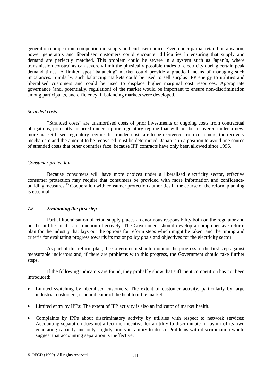generation competition, competition in supply and end-user choice. Even under partial retail liberalisation, power generators and liberalised customers could encounter difficulties in ensuring that supply and demand are perfectly matched. This problem could be severe in a system such as Japan's, where transmission constraints can severely limit the physically possible trades of electricity during certain peak demand times. A limited spot "balancing" market could provide a practical means of managing such imbalances. Similarly, such balancing markets could be used to sell surplus IPP energy to utilities and liberalised customers and could be used to displace higher marginal cost resources. Appropriate governance (and, potentially, regulation) of the market would be important to ensure non-discrimination among participants, and efficiency, if balancing markets were developed.

#### *Stranded costs*

 "Stranded costs" are unamortised costs of prior investments or ongoing costs from contractual obligations, prudently incurred under a prior regulatory regime that will not be recovered under a new, more market-based regulatory regime. If stranded costs are to be recovered from customers, the recovery mechanism and the amount to be recovered must be determined. Japan is in a position to avoid one source of stranded costs that other countries face, because IPP contracts have only been allowed since 1996.<sup>14</sup>

# *Consumer protection*

 Because consumers will have more choices under a liberalised electricity sector, effective consumer protection may require that consumers be provided with more information and confidencebuilding measures.<sup>15</sup> Cooperation with consumer protection authorities in the course of the reform planning is essential.

# *7.5 Evaluating the first step*

 Partial liberalisation of retail supply places an enormous responsibility both on the regulator and on the utilities if it is to function effectively. The Government should develop a comprehensive reform plan for the industry that lays out the options for reform steps which might be taken, and the timing and criteria for evaluating progress towards its major policy goals and objectives for the electricity sector.

 As part of this reform plan, the Government should monitor the progress of the first step against measurable indicators and, if there are problems with this progress, the Government should take further steps.

 If the following indicators are found, they probably show that sufficient competition has not been introduced:

- $\bullet$  Limited switching by liberalised customers: The extent of customer activity, particularly by large industrial customers, is an indicator of the health of the market.
- Limited entry by IPPs: The extent of IPP activity is also an indicator of market health.
- $\bullet$  Complaints by IPPs about discriminatory activity by utilities with respect to network services: Accounting separation does not affect the incentive for a utility to discriminate in favour of its own generating capacity and only slightly limits its ability to do so. Problems with discrimination would suggest that accounting separation is ineffective.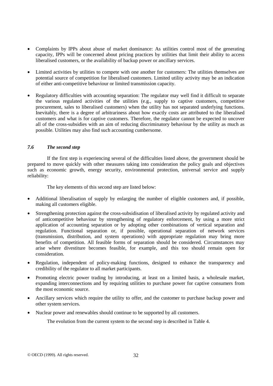- $\bullet$  Complaints by IPPs about abuse of market dominance: As utilities control most of the generating capacity, IPPs will be concerned about pricing practices by utilities that limit their ability to access liberalised customers, or the availability of backup power or ancillary services.
- $\bullet$  Limited activities by utilities to compete with one another for customers: The utilities themselves are potential source of competition for liberalised customers. Limited utility activity may be an indication of either anti-competitive behaviour or limited transmission capacity.
- $\bullet$  Regulatory difficulties with accounting separation: The regulator may well find it difficult to separate the various regulated activities of the utilities (e.g., supply to captive customers, competitive procurement, sales to liberalised customers) when the utility has not separated underlying functions. Inevitably, there is a degree of arbitrariness about how exactly costs are attributed to the liberalised customers and what is for captive customers. Therefore, the regulator cannot be expected to uncover all of the cross-subsidies with an aim of reducing discriminatory behaviour by the utility as much as possible. Utilities may also find such accounting cumbersome.

# *7.6 The second step*

 If the first step is experiencing several of the difficulties listed above, the government should be prepared to move quickly with other measures taking into consideration the policy goals and objectives such as economic growth, energy security, environmental protection, universal service and supply reliability:

The key elements of this second step are listed below:

- $\bullet$  Additional liberalisation of supply by enlarging the number of eligible customers and, if possible, making all customers eligible.
- $\bullet$  Strengthening protection against the cross-subsidisation of liberalised activity by regulated activity and of anticompetitive behaviour by strengthening of regulatory enforcement, by using a more strict application of accounting separation or by adopting other combinations of vertical separation and regulation. Functional separation or, if possible, operational separation of network services (transmission, distribution, and system operations) with appropriate regulation may bring more benefits of competition. All feasible forms of separation should be considered. Circumstances may arise where divestiture becomes feasible, for example, and this too should remain open for consideration.
- Regulation, independent of policy-making functions, designed to enhance the transparency and credibility of the regulator to all market participants.
- $\bullet$  Promoting electric power trading by introducing, at least on a limited basis, a wholesale market, expanding interconnections and by requiring utilities to purchase power for captive consumers from the most economic source.
- Ancillary services which require the utility to offer, and the customer to purchase backup power and other system services.
- Nuclear power and renewables should continue to be supported by all customers.

The evolution from the current system to the second step is described in Table 4.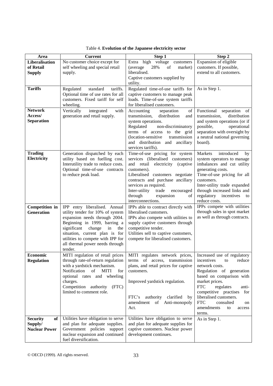| Area                                                     | <b>Current</b>                                                                                                                                                                                                                                                                                | Step 1                                                                                                                                                                                                                                                                                                          | Step 2                                                                                                                                                                                                                                                                                                                       |
|----------------------------------------------------------|-----------------------------------------------------------------------------------------------------------------------------------------------------------------------------------------------------------------------------------------------------------------------------------------------|-----------------------------------------------------------------------------------------------------------------------------------------------------------------------------------------------------------------------------------------------------------------------------------------------------------------|------------------------------------------------------------------------------------------------------------------------------------------------------------------------------------------------------------------------------------------------------------------------------------------------------------------------------|
| <b>Liberalisation</b><br>of Retail<br><b>Supply</b>      | No customer choice except for<br>self wheeling and special retail<br>supply.                                                                                                                                                                                                                  | Extra high voltage customers<br>(average<br>28%<br>of<br>market)<br>liberalised.<br>Captive customers supplied by<br>utility.                                                                                                                                                                                   | Expansion of eligible<br>customers. If possible,<br>extend to all customers.                                                                                                                                                                                                                                                 |
| <b>Tariffs</b>                                           | standard<br>Regulated<br>tariffs.<br>Optional time of use rates for all<br>customers. Fixed tariff for self<br>wheeling.                                                                                                                                                                      | Regulated time-of-use tariffs for<br>captive customers to manage peak<br>loads. Time-of-use system tariffs<br>for liberalised customers.                                                                                                                                                                        | As in Step 1.                                                                                                                                                                                                                                                                                                                |
| <b>Network</b><br>Access/<br><b>Separation</b>           | Vertically<br>integrated<br>with<br>generation and retail supply.                                                                                                                                                                                                                             | Accounting<br>separation<br>of<br>distribution<br>transmission,<br>and<br>system operations.<br>Regulated<br>non-discriminatory<br>terms of access to the grid<br>(location-sensitive)<br>transmission<br>and distribution and ancillary<br>services tariffs).                                                  | Functional<br>separation<br>of<br>transmission,<br>distribution<br>and system operations (or if<br>possible,<br>operational<br>separation with oversight by<br>a neutral national governing<br>board).                                                                                                                       |
| <b>Trading</b><br>Electricity                            | Generation dispatched by each<br>utility based on fuelling cost.<br>Interutility trade to reduce costs.<br>Optional time-of-use contracts<br>to reduce peak load.                                                                                                                             | Time-of-use pricing for system<br>services (liberalised customers)<br>and retail electricity (captive<br>customers).<br>Liberalised customers negotiate<br>contracts and purchase ancillary<br>services as required.<br>Inter-utility<br>trade<br>encouraged<br>through<br>expansion<br>of<br>interconnections. | Markets<br>introduced<br>by<br>system operators to manage<br>imbalances and cut utility<br>generating costs.<br>Time-of-use pricing for all<br>customers.<br>Inter-utility trade expanded<br>through increased links and<br>regulatory<br>incentives<br>to<br>reduce costs.                                                  |
| <b>Competition</b> in<br><b>Generation</b>               | IPP entry liberalised. Annual<br>utility tender for 10% of system<br>expansion needs through 2004.<br>Beginning in 1999, barring a<br>significant<br>change<br>in<br>the<br>situation, current plan is for<br>utilities to compete with IPP for<br>all thermal power needs through<br>tender. | IPPs able to contract directly with<br>liberalised customers.<br>IPPs also compete with utilities to<br>supply captive customers through<br>competitive tender.<br>Utilities sell to captive customers,<br>compete for liberalised customers.                                                                   | IPPs compete with utilities<br>through sales in spot market<br>as well as through contracts.                                                                                                                                                                                                                                 |
| Economic<br><b>Regulation</b>                            | MITI regulation of retail prices<br>through rate-of-return regulation<br>with a yardstick mechanism.<br>Notification<br>of<br><b>MITI</b><br>for<br>optional rates and wheeling<br>charges.<br>Competition authority<br>(FTC)<br>limited to comment role.                                     | MITI regulates network prices,<br>terms of access, transmission<br>plans, and retail prices for captive<br>customers.<br>Improved yardstick regulation.<br>FTC's<br>authority clarified<br>by<br>amendment of Anti-monopoly<br>Act.                                                                             | Increased use of regulatory<br>reduce<br>incentives<br>to<br>network costs.<br>Regulation of generation<br>based on comparison with<br>market prices.<br><b>FTC</b><br>regulates<br>anti-<br>competitive practises<br>for<br>liberalised customers.<br><b>FTC</b><br>consulted<br>on<br>amendments<br>to<br>access<br>terms. |
| <b>Security</b><br>of<br>Supply/<br><b>Nuclear Power</b> | Utilities have obligation to serve<br>and plan for adequate supplies.<br>Government policies support<br>nuclear expansion and continued<br>fuel diversification.                                                                                                                              | Utilities have obligation to serve<br>and plan for adequate supplies for<br>captive customers. Nuclear power<br>development continues.                                                                                                                                                                          | As in Step 1.                                                                                                                                                                                                                                                                                                                |

Table 4. **Evolution of the Japanese electricity sector**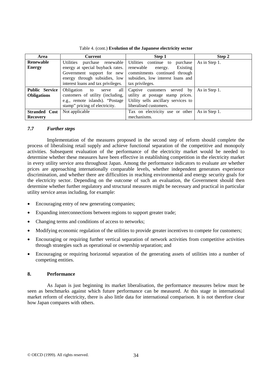| Area                  | <b>Current</b>                                     | Step 1                                                            | Step 2        |
|-----------------------|----------------------------------------------------|-------------------------------------------------------------------|---------------|
| <b>Renewable</b>      | Utilities purchase renewable Utilities continue to | purchase                                                          | As in Step 1. |
| <b>Energy</b>         | energy at special buyback rates.                   | renewable<br>Existing<br>energy.                                  |               |
|                       |                                                    | Government support for new commitments continued through          |               |
|                       |                                                    | energy through subsidies, low   subsidies, low interest loans and |               |
|                       | interest loans and tax privileges.                 | tax privileges.                                                   |               |
| <b>Public Service</b> | all<br>Obligation to<br>serve                      | Captive customers served by                                       | As in Step 1. |
| <b>Obligations</b>    | customers of utility (including,                   | utility at postage stamp prices.                                  |               |
|                       | e.g., remote islands). "Postage                    | Utility sells ancillary services to                               |               |
|                       | stamp" pricing of electricity.                     | liberalised customers.                                            |               |
| <b>Stranded Cost</b>  | Not applicable                                     | Tax on electricity use or other                                   | As in Step 1. |
| <b>Recovery</b>       |                                                    | mechanisms.                                                       |               |

Table 4. (cont.) **Evolution of the Japanese electricity sector** 

# *7.7 Further steps*

 Implementation of the measures proposed in the second step of reform should complete the process of liberalising retail supply and achieve functional separation of the competitive and monopoly activities. Subsequent evaluation of the performance of the electricity market would be needed to determine whether these measures have been effective in establishing competition in the electricity market in every utility service area throughout Japan. Among the performance indicators to evaluate are whether prices are approaching internationally comparable levels, whether independent generators experience discrimination, and whether there are difficulties in reaching environmental and energy security goals for the electricity sector. Depending on the outcome of such an evaluation, the Government should then determine whether further regulatory and structural measures might be necessary and practical in particular utility service areas including, for example:

- $\bullet$ Encouraging entry of new generating companies;
- $\bullet$ Expanding interconnections between regions to support greater trade;
- $\bullet$ Changing terms and conditions of access to networks;
- $\bullet$ Modifying economic regulation of the utilities to provide greater incentives to compete for customers;
- $\bullet$  Encouraging or requiring further vertical separation of network activities from competitive activities through strategies such as operational or ownership separation; and
- $\bullet$  Encouraging or requiring horizontal separation of the generating assets of utilities into a number of competing entities.

# **8. Performance**

 As Japan is just beginning its market liberalisation, the performance measures below must be seen as benchmarks against which future performance can be measured. At this stage in international market reform of electricity, there is also little data for international comparison. It is not therefore clear how Japan compares with others.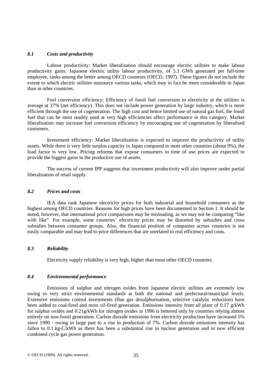# *8.1 Costs and productivity*

 Labour productivity: Market liberalisation should encourage electric utilities to make labour productivity gains. Japanese electric utility labour productivity, of 5.1 GWh generated per full-time employee, ranks among the better among OECD countries (OECD, 1997). These figures do not include the extent to which electric utilities outsource various tasks, which may in fact be more considerable in Japan than in other countries.

 Fuel conversion efficiency: Efficiency of fossil fuel conversion to electricity at the utilities is average at 37% (net efficiency). This does not include power generation by large industry, which is more efficient through the use of cogeneration. The high cost and hence limited use of natural gas fuel, the fossil fuel that can be most readily used at very high efficiencies affect performance in this category. Market liberalisation may increase fuel conversion efficiency by encouraging use of cogeneration by liberalised customers.

 Investment efficiency: Market liberalisation is expected to improve the productivity of utility assets. While there is very little surplus capacity in Japan compared to most other countries (about 9%), the load factor is very low. Pricing reforms that expose consumers to time of use prices are expected to provide the biggest gains in the productive use of assets.

 The success of current IPP suggests that investment productivity will also improve under partial liberalisation of retail supply.

# *8.2 Prices and costs*

 IEA data rank Japanese electricity prices for both industrial and household consumers as the highest among OECD countries. Reasons for high prices have been documented in Section 1. It should be noted, however, that international price comparisons may be misleading, as we may not be comparing "like with like". For example, some countries' electricity prices may be distorted by subsidies and cross subsidies between consumer groups. Also, the financial position of companies across countries is not easily comparable and may lead to price differences that are unrelated to real efficiency and costs.

# *8.3 Reliability*

Electricity supply reliability is very high, higher than most other OECD countries.

# *8.4 Environmental performance*

 Emissions of sulphur and nitrogen oxides from Japanese electric utilities are extremely low owing to very strict environmental standards at both the national and prefectural/municipal levels. Extensive emissions control investments (flue gas desulphurisation, selective catalytic reduction) have been added to coal-fired and most oil-fired generation. Emissions intensity from all plant of 0.17 g/kWh for sulphur oxides and 0.21g/kWh for nitrogen oxides in 1996 is bettered only by countries relying almost entirely on non-fossil generation. Carbon dioxide emissions from electricity production have increased 5% since 1990 - owing in large part to a rise in production of 7%. Carbon dioxide emissions intensity has fallen to 0.1 kg-C/kWh as there has been a substantial rise in nuclear generation and in new efficient combined cycle gas power generation.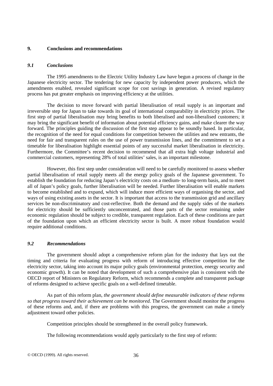# **9. Conclusions and recommendations**

# *9.1 Conclusions*

 The 1995 amendments to the Electric Utility Industry Law have begun a process of change in the Japanese electricity sector. The tendering for new capacity by independent power producers, which the amendments enabled, revealed significant scope for cost savings in generation. A revised regulatory process has put greater emphasis on improving efficiency at the utilities.

 The decision to move forward with partial liberalisation of retail supply is an important and irreversible step for Japan to take towards its goal of international comparability in electricity prices. The first step of partial liberalisation may bring benefits to both liberalised and non-liberalised customers; it may bring the significant benefit of information about potential efficiency gains, and make clearer the way forward. The principles guiding the discussion of the first step appear to be soundly based. In particular, the recognition of the need for equal conditions for competition between the utilities and new entrants, the need for fair and transparent rules on the use of power transmission lines, and the commitment to set a timetable for liberalisation highlight essential points of any successful market liberalisation in electricity. Furthermore, the Committee's recent decision to recommend that all extra high voltage industrial and commercial customers, representing 28% of total utilities' sales, is an important milestone.

 However, this first step under consideration will need to be carefully monitored to assess whether partial liberalisation of retail supply meets all the energy policy goals of the Japanese government. To establish the foundation for reducing Japan's electricity costs on a medium- to long-term basis, and to meet all of Japan's policy goals, further liberalisation will be needed. Further liberalisation will enable markets to become established and to expand, which will induce more efficient ways of organising the sector, and ways of using existing assets in the sector. It is important that access to the transmission grid and ancillary services be non-discriminatory and cost-reflective. Both the demand and the supply sides of the markets for electricity should be sufficiently unconcentrated, and those parts of the sector remaining under economic regulation should be subject to credible, transparent regulation. Each of these conditions are part of the foundation upon which an efficient electricity sector is built. A more robust foundation would require additional conditions.

# *9.2 Recommendations*

 The government should adopt a comprehensive reform plan for the industry that lays out the timing and criteria for evaluating progress with reform of introducing effective competition for the electricity sector, taking into account its major policy goals (environmental protection, energy security and economic growth). It can be noted that development of such a comprehensive plan is consistent with the OECD report of Ministers on Regulatory Reform, which recommends a complete and transparent package of reforms designed to achieve specific goals on a well-defined timetable.

 As part of this reform plan, *the government should define measurable indicators of these reforms so that progress toward their achievement can be monitored*. The Government should monitor the progress of these reforms and, and, if there are problems with this progress, the government can make a timely adjustment toward other policies.

Competition principles should be strengthened in the overall policy framework.

The following recommendations would apply particularly to the first step of reform: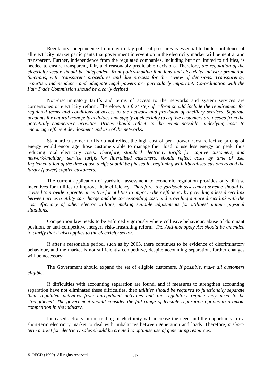Regulatory independence from day to day political pressures is essential to build confidence of all electricity market participants that government intervention in the electricity market will be neutral and transparent. Further, independence from the regulated companies, including but not limited to utilities, is needed to ensure transparent, fair, and reasonably predictable decisions. Therefore, *the regulation of the electricity sector should be independent from policy-making functions and electricity industry promotion functions, with transparent procedure*s *and due process for the review of decisions*. *Transparency, expertise, independence and adequate legal powers are particularly important. Co-ordination with the Fair Trade Commission should be clearly defined*.

 Non-discriminatory tariffs and terms of access to the networks and system services are cornerstones of electricity reform. Therefore, *the first step of reform should include the requirement for regulated terms and conditions of access to the network and provision of ancillary services. Separate accounts for natural monopoly activities and supply of electricity to captive customers are needed from the potentially competitive activities. Prices should reflect, to the extent possible, underlying costs to encourage efficient development and use of the networks.*

 Standard customer tariffs do not reflect the high cost of peak power. Cost reflective pricing of energy would encourage those customers able to manage their load to use less energy on peak, thus reducing total electricity costs. *Therefore, standard electricity tariffs for captive customers, and network/ancillary service tariffs for liberalised customers, should reflect costs by time of use. Implementation of the time of use tariffs should be phased in, beginning with liberalised customers and the larger (power) captive customers.*

 The current application of yardstick assessment to economic regulation provides only diffuse incentives for utilities to improve their efficiency. *Therefore, the yardstick assessment scheme should be revised to provide a greater incentive for utilities to improve their efficiency by providing a less direct link between prices a utility can charge and the corresponding cost, and providing a more direct link with the cost efficiency of other electric utilities, making suitable adjustments for utilities' unique physical situations.* 

 Competition law needs to be enforced vigorously where collusive behaviour, abuse of dominant position, or anti-competitive mergers risks frustrating reform. *The Anti-monopoly Act should be amended to clarify that it also applies to the electricity sector.*

 If after a reasonable period, such as by 2003, there continues to be evidence of discriminatory behaviour, and the market is not sufficiently competitive, despite accounting separation, further changes will be necessary:

 The Government should expand the set of eligible customers. *If possible, make all customers eligible.* 

 If difficulties with accounting separation are found, and if measures to strengthen accounting separation have not eliminated these difficulties, then *utilities should be required to functionally separate their regulated activities from unregulated activities and the regulatory regime may need to be strengthened. The government should consider the full range of feasible separation options to promote competition in the industry.*

 Increased activity in the trading of electricity will increase the need and the opportunity for a short-term electricity market to deal with imbalances between generation and loads. Therefore*, a shortterm market for electricity sales should be created to optimise use of generating resources.*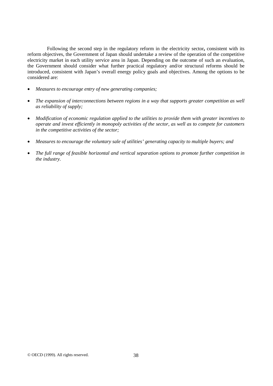Following the second step in the regulatory reform in the electricity sector**,** consistent with its reform objectives, the Government of Japan should undertake a review of the operation of the competitive electricity market in each utility service area in Japan. Depending on the outcome of such an evaluation, the Government should consider what further practical regulatory and/or structural reforms should be introduced, consistent with Japan's overall energy policy goals and objectives. Among the options to be considered are:

- -*Measures to encourage entry of new generating companies;*
- $\bullet$  *The expansion of interconnections between regions in a way that supports greater competition as well as reliability of supply;*
- $\bullet$  *Modification of economic regulation applied to the utilities to provide them with greater incentives to operate and invest efficiently in monopoly activities of the sector, as well as to compete for customers in the competitive activities of the sector;*
- $\bullet$ *Measures to encourage the voluntary sale of utilities' generating capacity to multiple buyers; and*
- $\bullet$  *The full range of feasible horizontal and vertical separation options to promote further competition in the industry.*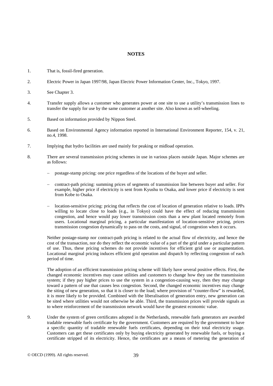# **NOTES**

- 1. That is, fossil-fired generation.
- 2. Electric Power in Japan 1997/98, Japan Electric Power Information Center, Inc., Tokyo, 1997.
- 3. See Chapter 3.
- 4. Transfer supply allows a customer who generates power at one site to use a utility's transmission lines to transfer the supply for use by the same customer at another site. Also known as self-wheeling.
- 5. Based on information provided by Nippon Steel.
- 6. Based on Environmental Agency information reported in International Environment Reporter, 154, v. 21, no.4, 1998.
- 7. Implying that hydro facilities are used mainly for peaking or midload operation.
- 8. There are several transmission pricing schemes in use in various places outside Japan. Major schemes are as follows:
	- postage-stamp pricing: one price regardless of the locations of the buyer and seller.
	- contract-path pricing: summing prices of segments of transmission line between buyer and seller. For example, higher price if electricity is sent from Kyushu to Osaka, and lower price if electricity is sent from Kobe to Osaka.
	- location-sensitive pricing: pricing that reflects the cost of location of generation relative to loads. IPPs willing to locate close to loads (e.g., in Tokyo) could have the effect of reducing transmission congestion, and hence would pay lower transmission costs than a new plant located remotely from users. Locational marginal pricing, a particular manifestation of location-sensitive pricing, prices transmission congestion dynamically to pass on the costs, and signal, of congestion when it occurs.

 Neither postage-stamp nor contract-path pricing is related to the actual flow of electricity, and hence the cost of the transaction, nor do they reflect the economic value of a part of the grid under a particular pattern of use. Thus, these pricing schemes do not provide incentives for efficient grid use or augmentation. Locational marginal pricing induces efficient grid operation and dispatch by reflecting congestion of each period of time.

 The adoption of an efficient transmission pricing scheme will likely have several positive effects. First, the changed economic incentives may cause utilities and customers to change how they use the transmission system; if they pay higher prices to use the system in a congestion-causing way, then they may change toward a pattern of use that causes less congestion. Second, the changed economic incentives may change the siting of new generation, so that it is closer to the load; where provision of "counter-flow" is rewarded, it is more likely to be provided. Combined with the liberalisation of generation entry, new generation can be sited where utilities would not otherwise be able. Third, the transmission prices will provide signals as to where reinforcement of the transmission network would have the greatest economic value.

9. Under the system of green certificates adopted in the Netherlands, renewable fuels generators are awarded tradable renewable fuels certificate by the government. Customers are required by the government to have a specific quantity of tradable renewable fuels certificates, depending on their total electricity usage. Customers can get these certificates only by buying electricity generated by renewable fuels, or buying a certificate stripped of its electricity. Hence, the certificates are a means of metering the generation of